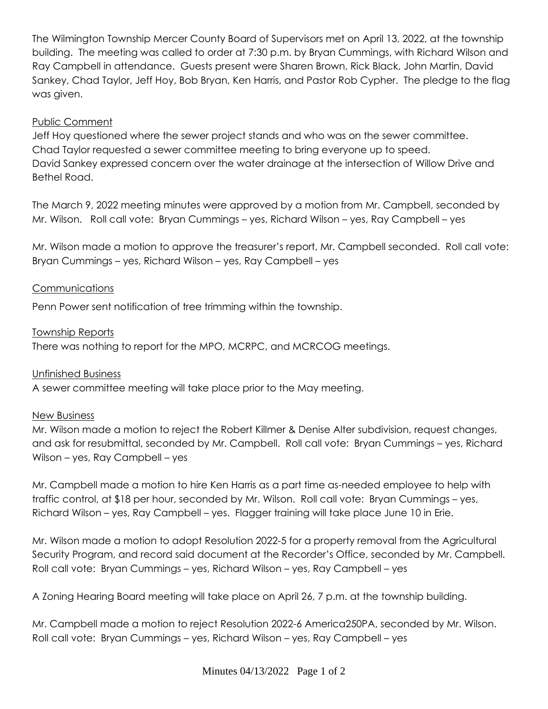The Wilmington Township Mercer County Board of Supervisors met on April 13, 2022, at the township building. The meeting was called to order at 7:30 p.m. by Bryan Cummings, with Richard Wilson and Ray Campbell in attendance. Guests present were Sharen Brown, Rick Black, John Martin, David Sankey, Chad Taylor, Jeff Hoy, Bob Bryan, Ken Harris, and Pastor Rob Cypher. The pledge to the flag was given.

# Public Comment

Jeff Hoy questioned where the sewer project stands and who was on the sewer committee. Chad Taylor requested a sewer committee meeting to bring everyone up to speed. David Sankey expressed concern over the water drainage at the intersection of Willow Drive and Bethel Road.

The March 9, 2022 meeting minutes were approved by a motion from Mr. Campbell, seconded by Mr. Wilson. Roll call vote: Bryan Cummings – yes, Richard Wilson – yes, Ray Campbell – yes

Mr. Wilson made a motion to approve the treasurer's report, Mr. Campbell seconded. Roll call vote: Bryan Cummings – yes, Richard Wilson – yes, Ray Campbell – yes

## Communications

Penn Power sent notification of tree trimming within the township.

Township Reports

There was nothing to report for the MPO, MCRPC, and MCRCOG meetings.

## Unfinished Business

A sewer committee meeting will take place prior to the May meeting.

## New Business

Mr. Wilson made a motion to reject the Robert Killmer & Denise Alter subdivision, request changes, and ask for resubmittal, seconded by Mr. Campbell. Roll call vote: Bryan Cummings – yes, Richard Wilson – yes, Ray Campbell – yes

Mr. Campbell made a motion to hire Ken Harris as a part time as-needed employee to help with traffic control, at \$18 per hour, seconded by Mr. Wilson. Roll call vote: Bryan Cummings – yes, Richard Wilson – yes, Ray Campbell – yes. Flagger training will take place June 10 in Erie.

Mr. Wilson made a motion to adopt Resolution 2022-5 for a property removal from the Agricultural Security Program, and record said document at the Recorder's Office, seconded by Mr. Campbell. Roll call vote: Bryan Cummings – yes, Richard Wilson – yes, Ray Campbell – yes

A Zoning Hearing Board meeting will take place on April 26, 7 p.m. at the township building.

Mr. Campbell made a motion to reject Resolution 2022-6 America250PA, seconded by Mr. Wilson. Roll call vote: Bryan Cummings – yes, Richard Wilson – yes, Ray Campbell – yes